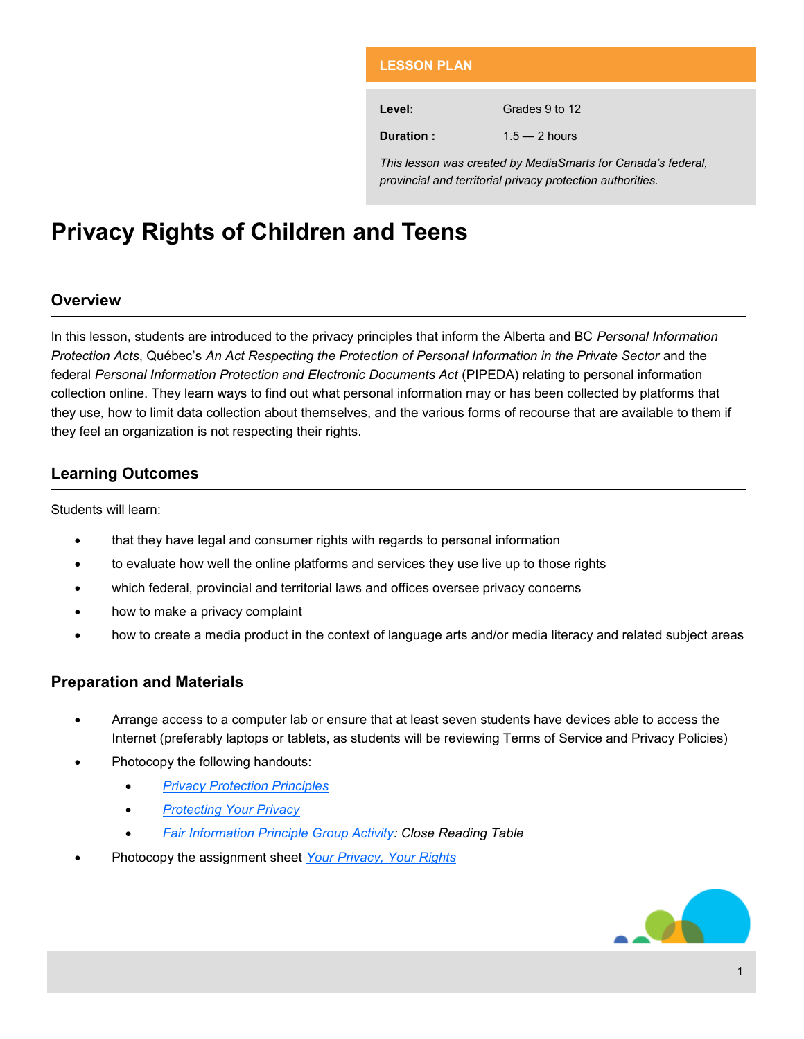| <b>LESSON PLAN</b>                                                                                                         |                 |
|----------------------------------------------------------------------------------------------------------------------------|-----------------|
|                                                                                                                            |                 |
| Level:                                                                                                                     | Grades 9 to 12  |
| Duration:                                                                                                                  | $1.5 - 2$ hours |
| This lesson was created by MediaSmarts for Canada's federal.<br>provincial and territorial privacy protection authorities. |                 |

# **Privacy Rights of Children and Teens**

# **Overview**

In this lesson, students are introduced to the privacy principles that inform the Alberta and BC *Personal Information Protection Acts*, Québec's *An Act Respecting the Protection of Personal Information in the Private Sector* and the federal Personal Information Protection and Electronic Documents Act (PIPEDA) relating to personal information collection online. They learn ways to find out what personal information may or has been collected by platforms that they use, how to limit data collection about themselves, and the various forms of recourse that are available to them if they feel an organization is not respecting their rights.

# **Learning Outcomes**

Students will learn:

- that they have legal and consumer rights with regards to personal information
- to evaluate how well the online platforms and services they use live up to those rights
- which federal, provincial and territorial laws and offices oversee privacy concerns
- how to make a privacy complaint
- how to create a media product in the context of language arts and/or media literacy and related subject areas

# **Preparation and Materials**

- Arrange access to a computer lab or ensure that at least seven students have devices able to access the Internet (preferably laptops or tablets, as students will be reviewing Terms of Service and Privacy Policies)
- Photocopy the following handouts:
	- *[Privacy Protection Principles](#page-5-0)*
	- *[Protecting Your Privacy](#page-8-0)*
	- *[Fair Information Principle Group Activity: Close Reading Table](#page-9-0)*
- Photocopy the assignment sheet *[Your Privacy, Your Rights](#page-11-0)*

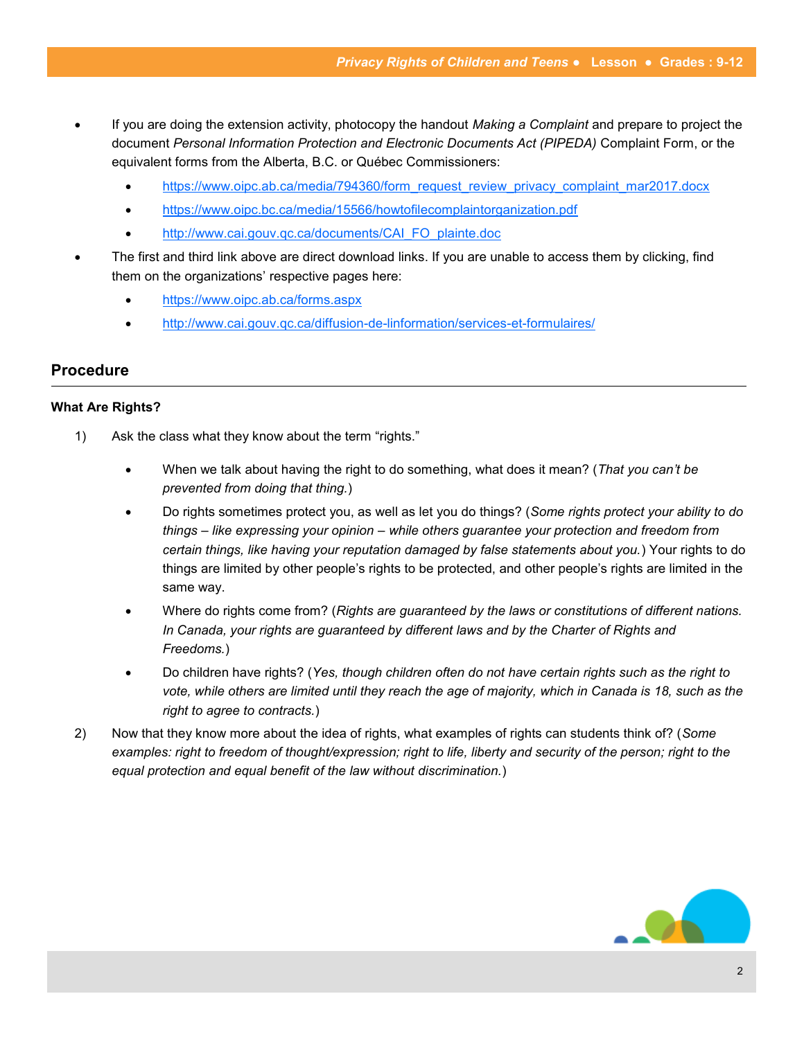- If you are doing the extension activity, photocopy the handout *Making a Complaint* and prepare to project the document *Personal Information Protection and Electronic Documents Act (PIPEDA)* Complaint Form, or the equivalent forms from the Alberta, B.C. or Québec Commissioners:
	- [https://www.oipc.ab.ca/media/794360/form\\_request\\_review\\_privacy\\_complaint\\_mar2017.docx](https://www.oipc.ab.ca/media/794360/form_request_review_privacy_complaint_mar2017.docx)
	- <https://www.oipc.bc.ca/media/15566/howtofilecomplaintorganization.pdf>
	- [http://www.cai.gouv.qc.ca/documents/CAI\\_FO\\_plainte.doc](http://www.cai.gouv.qc.ca/documents/CAI_FO_plainte.doc)
- The first and third link above are direct download links. If you are unable to access them by clicking, find them on the organizations' respective pages here:
	- <https://www.oipc.ab.ca/forms.aspx>
	- [http://www.cai.gouv.qc.ca/diffusion](http://www.cai.gouv.qc.ca/diffusion-de-linformation/services-et-formulaires/)-de-linformation/services-et-formulaires/

#### **Procedure**

#### **What Are Rights?**

- 1) Ask the class what they know about the term "rights."
	- When we talk about having the right to do something, what does it mean? (*That you can't be prevented from doing that thing.*)
	- Do rights sometimes protect you, as well as let you do things? (*Some rights protect your ability to do things – like expressing your opinion – while others guarantee your protection and freedom from certain things, like having your reputation damaged by false statements about you.*) Your rights to do things are limited by other people's rights to be protected, and other people's rights are limited in the same way.
	- Where do rights come from? (*Rights are guaranteed by the laws or constitutions of different nations. In Canada, your rights are guaranteed by different laws and by the Charter of Rights and Freedoms.*)
	- Do children have rights? (*Yes, though children often do not have certain rights such as the right to vote, while others are limited until they reach the age of majority, which in Canada is 18, such as the right to agree to contracts.*)
- 2) Now that they know more about the idea of rights, what examples of rights can students think of? (*Some examples: right to freedom of thought/expression; right to life, liberty and security of the person; right to the equal protection and equal benefit of the law without discrimination.*)

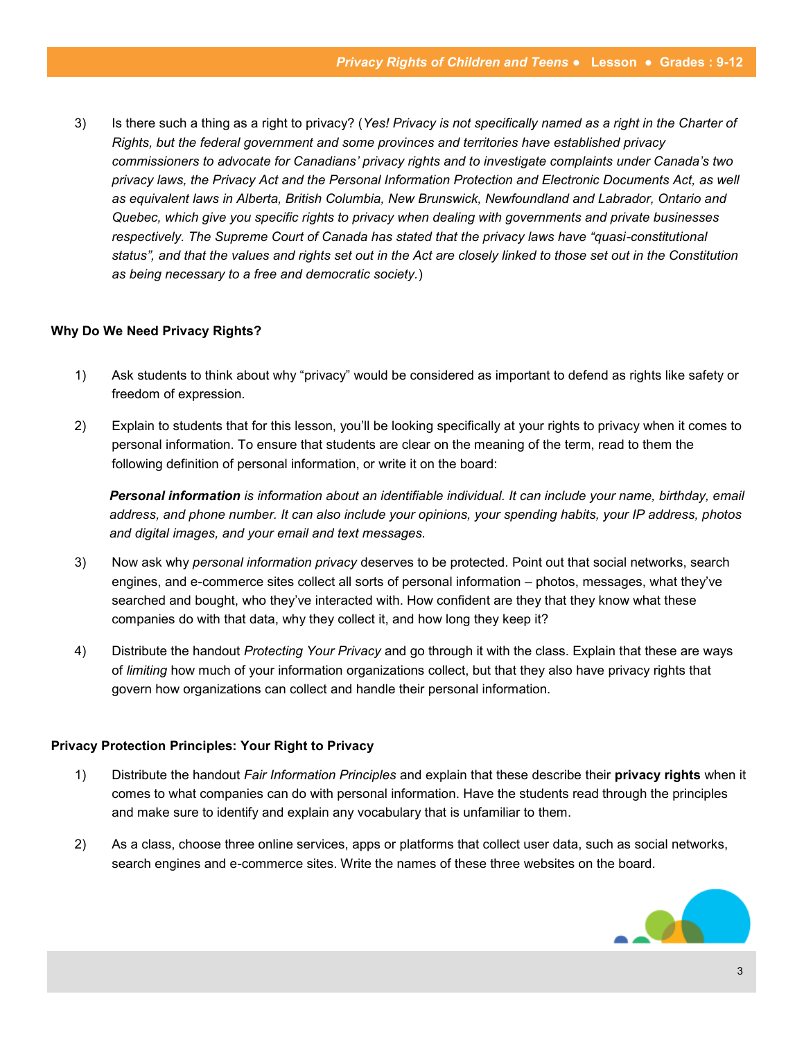3) Is there such a thing as a right to privacy? (*Yes! Privacy is not specifically named as a right in the Charter of Rights, but the federal government and some provinces and territories have established privacy commissioners to advocate for Canadians' privacy rights and to investigate complaints under Canada's two privacy laws, the Privacy Act and the Personal Information Protection and Electronic Documents Act, as well as equivalent laws in Alberta, British Columbia, New Brunswick, Newfoundland and Labrador, Ontario and Quebec, which give you specific rights to privacy when dealing with governments and private businesses respectively. The Supreme Court of Canada has stated that the privacy laws have "quasi-constitutional status", and that the values and rights set out in the Act are closely linked to those set out in the Constitution as being necessary to a free and democratic society.*)

#### **Why Do We Need Privacy Rights?**

- 1) Ask students to think about why "privacy" would be considered as important to defend as rights like safety or freedom of expression.
- 2) Explain to students that for this lesson, you'll be looking specifically at your rights to privacy when it comes to personal information. To ensure that students are clear on the meaning of the term, read to them the following definition of personal information, or write it on the board:

*Personal information is information about an identifiable individual. It can include your name, birthday, email address, and phone number. It can also include your opinions, your spending habits, your IP address, photos and digital images, and your email and text messages.*

- 3) Now ask why *personal information privacy* deserves to be protected. Point out that social networks, search engines, and e-commerce sites collect all sorts of personal information – photos, messages, what they've searched and bought, who they've interacted with. How confident are they that they know what these companies do with that data, why they collect it, and how long they keep it?
- 4) Distribute the handout *Protecting Your Privacy* and go through it with the class. Explain that these are ways of *limiting* how much of your information organizations collect, but that they also have privacy rights that govern how organizations can collect and handle their personal information.

#### **Privacy Protection Principles: Your Right to Privacy**

- 1) Distribute the handout *Fair Information Principles* and explain that these describe their **privacy rights** when it comes to what companies can do with personal information. Have the students read through the principles and make sure to identify and explain any vocabulary that is unfamiliar to them.
- 2) As a class, choose three online services, apps or platforms that collect user data, such as social networks, search engines and e-commerce sites. Write the names of these three websites on the board.

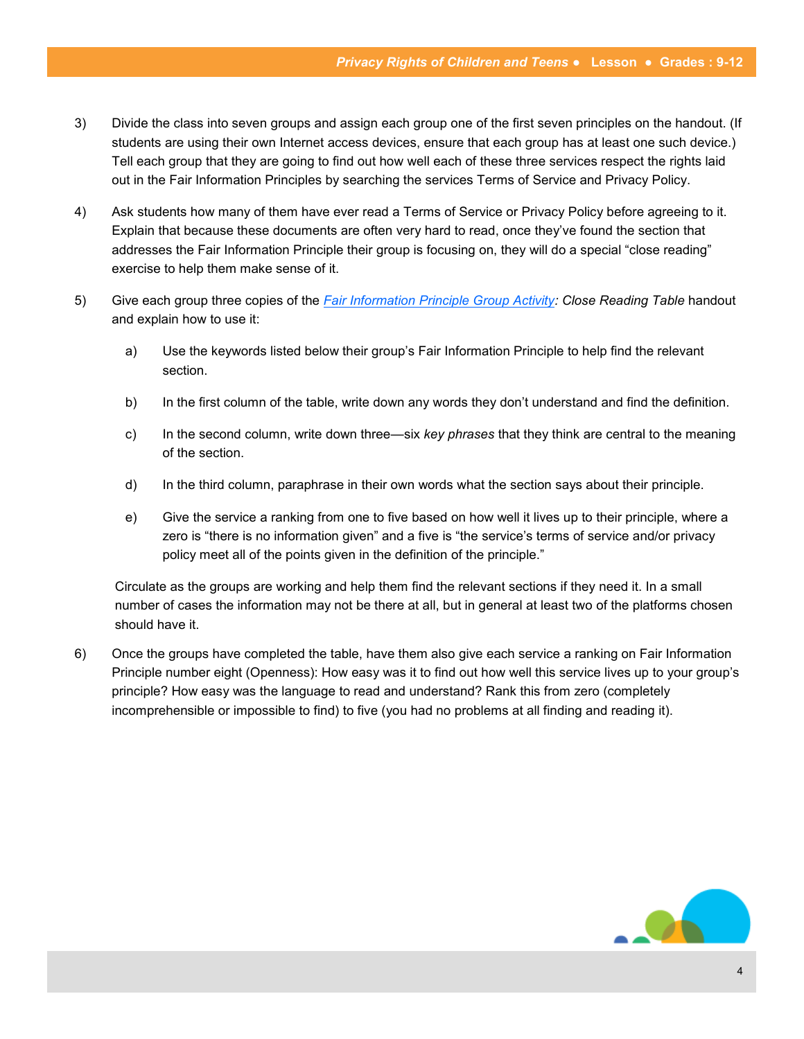- 3) Divide the class into seven groups and assign each group one of the first seven principles on the handout. (If students are using their own Internet access devices, ensure that each group has at least one such device.) Tell each group that they are going to find out how well each of these three services respect the rights laid out in the Fair Information Principles by searching the services Terms of Service and Privacy Policy.
- 4) Ask students how many of them have ever read a Terms of Service or Privacy Policy before agreeing to it. Explain that because these documents are often very hard to read, once they've found the section that addresses the Fair Information Principle their group is focusing on, they will do a special "close reading" exercise to help them make sense of it.
- 5) Give each group three copies of the *[Fair Information Principle Group Activity:](#page-9-0) Close Reading Table* handout and explain how to use it:
	- a) Use the keywords listed below their group's Fair Information Principle to help find the relevant section.
	- b) In the first column of the table, write down any words they don't understand and find the definition.
	- c) In the second column, write down three—six *key phrases* that they think are central to the meaning of the section.
	- d) In the third column, paraphrase in their own words what the section says about their principle.
	- e) Give the service a ranking from one to five based on how well it lives up to their principle, where a zero is "there is no information given" and a five is "the service's terms of service and/or privacy policy meet all of the points given in the definition of the principle."

Circulate as the groups are working and help them find the relevant sections if they need it. In a small number of cases the information may not be there at all, but in general at least two of the platforms chosen should have it.

6) Once the groups have completed the table, have them also give each service a ranking on Fair Information Principle number eight (Openness): How easy was it to find out how well this service lives up to your group's principle? How easy was the language to read and understand? Rank this from zero (completely incomprehensible or impossible to find) to five (you had no problems at all finding and reading it).

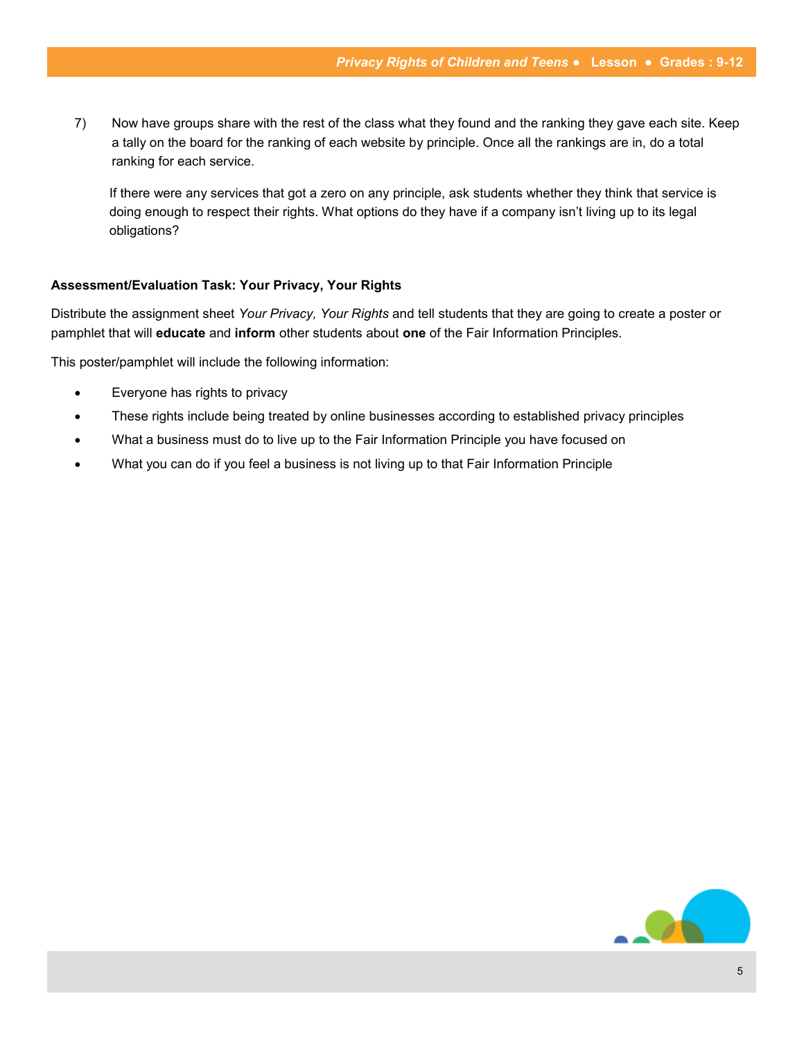7) Now have groups share with the rest of the class what they found and the ranking they gave each site. Keep a tally on the board for the ranking of each website by principle. Once all the rankings are in, do a total ranking for each service.

If there were any services that got a zero on any principle, ask students whether they think that service is doing enough to respect their rights. What options do they have if a company isn't living up to its legal obligations?

#### **Assessment/Evaluation Task: Your Privacy, Your Rights**

Distribute the assignment sheet *Your Privacy, Your Rights* and tell students that they are going to create a poster or pamphlet that will **educate** and **inform** other students about **one** of the Fair Information Principles.

This poster/pamphlet will include the following information:

- Everyone has rights to privacy
- These rights include being treated by online businesses according to established privacy principles
- What a business must do to live up to the Fair Information Principle you have focused on
- What you can do if you feel a business is not living up to that Fair Information Principle

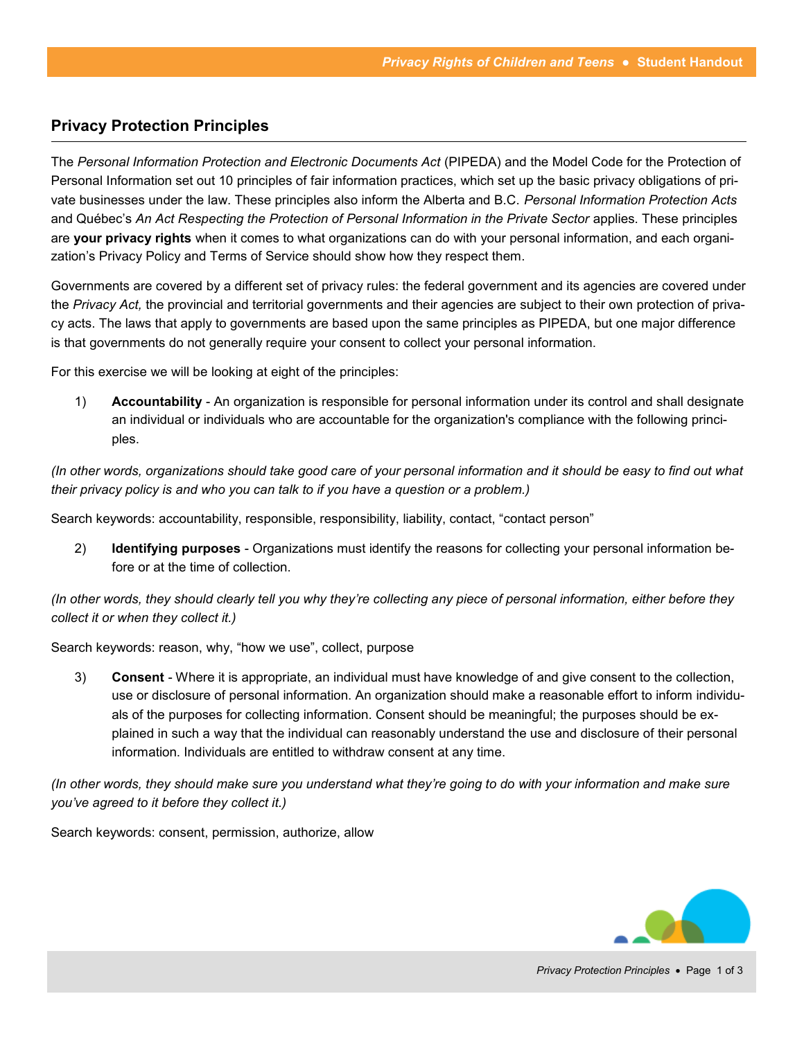# <span id="page-5-0"></span>**Privacy Protection Principles**

The *Personal Information Protection and Electronic Documents Act* (PIPEDA) and the Model Code for the Protection of Personal Information set out 10 principles of fair information practices, which set up the basic privacy obligations of private businesses under the law. These principles also inform the Alberta and B.C. *Personal Information Protection Acts*  and Québec's *An Act Respecting the Protection of Personal Information in the Private Sector* applies. These principles are **your privacy rights** when it comes to what organizations can do with your personal information, and each organization's Privacy Policy and Terms of Service should show how they respect them.

Governments are covered by a different set of privacy rules: the federal government and its agencies are covered under the *Privacy Act,* the provincial and territorial governments and their agencies are subject to their own protection of privacy acts. The laws that apply to governments are based upon the same principles as PIPEDA, but one major difference is that governments do not generally require your consent to collect your personal information.

For this exercise we will be looking at eight of the principles:

1) **Accountability** - An organization is responsible for personal information under its control and shall designate an individual or individuals who are accountable for the organization's compliance with the following principles.

*(In other words, organizations should take good care of your personal information and it should be easy to find out what their privacy policy is and who you can talk to if you have a question or a problem.)*

Search keywords: accountability, responsible, responsibility, liability, contact, "contact person"

2) **Identifying purposes** - Organizations must identify the reasons for collecting your personal information before or at the time of collection.

*(In other words, they should clearly tell you why they're collecting any piece of personal information, either before they collect it or when they collect it.)*

Search keywords: reason, why, "how we use", collect, purpose

3) **Consent** - Where it is appropriate, an individual must have knowledge of and give consent to the collection, use or disclosure of personal information. An organization should make a reasonable effort to inform individuals of the purposes for collecting information. Consent should be meaningful; the purposes should be explained in such a way that the individual can reasonably understand the use and disclosure of their personal information. Individuals are entitled to withdraw consent at any time.

*(In other words, they should make sure you understand what they're going to do with your information and make sure you've agreed to it before they collect it.)*

Search keywords: consent, permission, authorize, allow

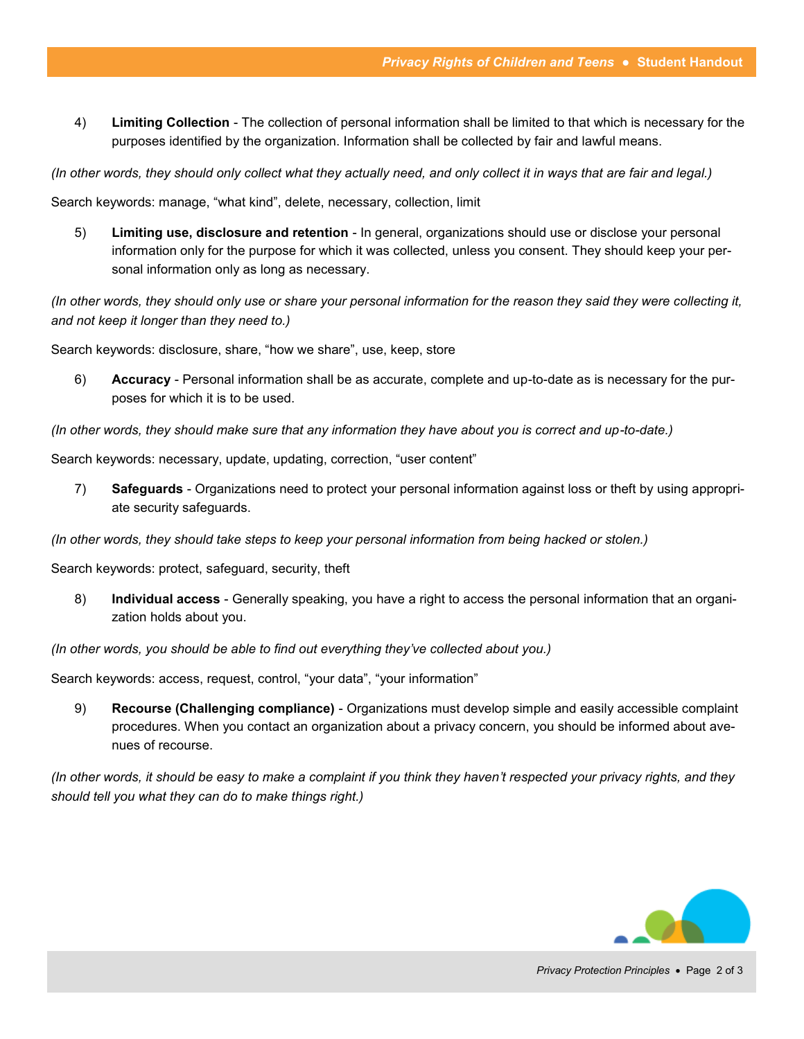4) **Limiting Collection** - The collection of personal information shall be limited to that which is necessary for the purposes identified by the organization. Information shall be collected by fair and lawful means.

*(In other words, they should only collect what they actually need, and only collect it in ways that are fair and legal.)*

Search keywords: manage, "what kind", delete, necessary, collection, limit

5) **Limiting use, disclosure and retention** - In general, organizations should use or disclose your personal information only for the purpose for which it was collected, unless you consent. They should keep your personal information only as long as necessary.

*(In other words, they should only use or share your personal information for the reason they said they were collecting it, and not keep it longer than they need to.)*

Search keywords: disclosure, share, "how we share", use, keep, store

6) **Accuracy** - Personal information shall be as accurate, complete and up-to-date as is necessary for the purposes for which it is to be used.

*(In other words, they should make sure that any information they have about you is correct and up-to-date.)*

Search keywords: necessary, update, updating, correction, "user content"

7) **Safeguards** - Organizations need to protect your personal information against loss or theft by using appropriate security safeguards.

*(In other words, they should take steps to keep your personal information from being hacked or stolen.)*

Search keywords: protect, safeguard, security, theft

8) **Individual access** - Generally speaking, you have a right to access the personal information that an organization holds about you.

*(In other words, you should be able to find out everything they've collected about you.)*

Search keywords: access, request, control, "your data", "your information"

9) **Recourse (Challenging compliance)** - Organizations must develop simple and easily accessible complaint procedures. When you contact an organization about a privacy concern, you should be informed about avenues of recourse.

*(In other words, it should be easy to make a complaint if you think they haven't respected your privacy rights, and they should tell you what they can do to make things right.)*

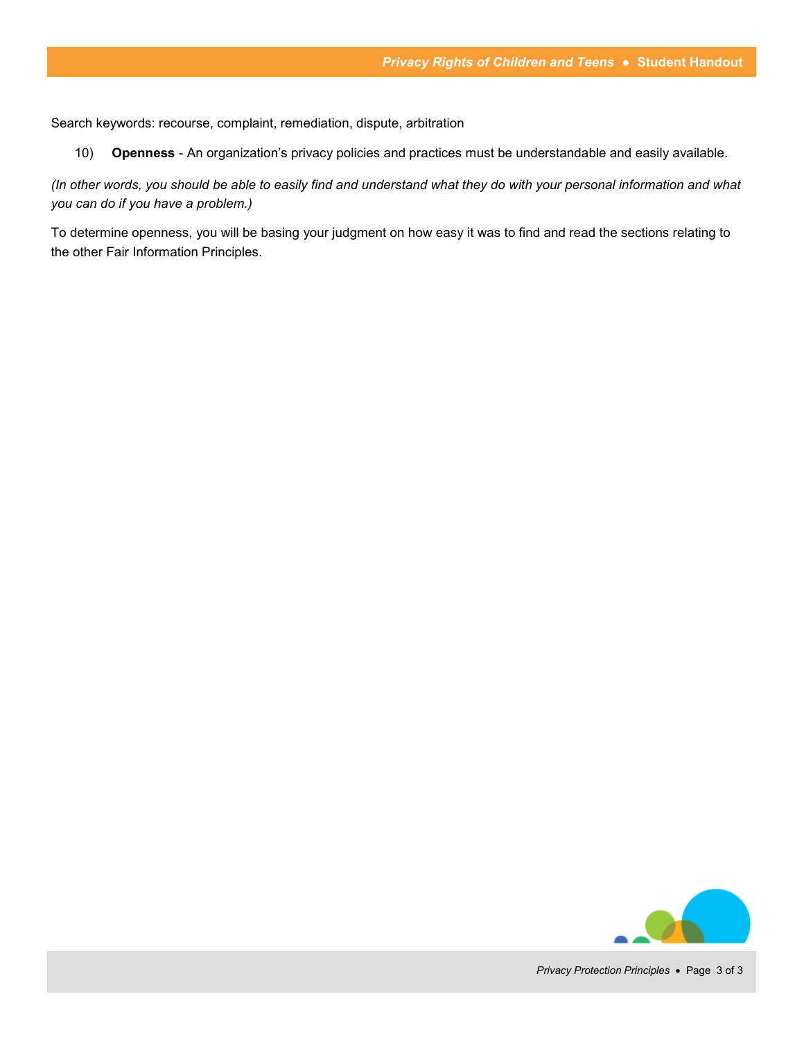Search keywords: recourse, complaint, remediation, dispute, arbitration

10) **Openness** - An organization's privacy policies and practices must be understandable and easily available.

*(In other words, you should be able to easily find and understand what they do with your personal information and what you can do if you have a problem.)*

To determine openness, you will be basing your judgment on how easy it was to find and read the sections relating to the other Fair Information Principles.

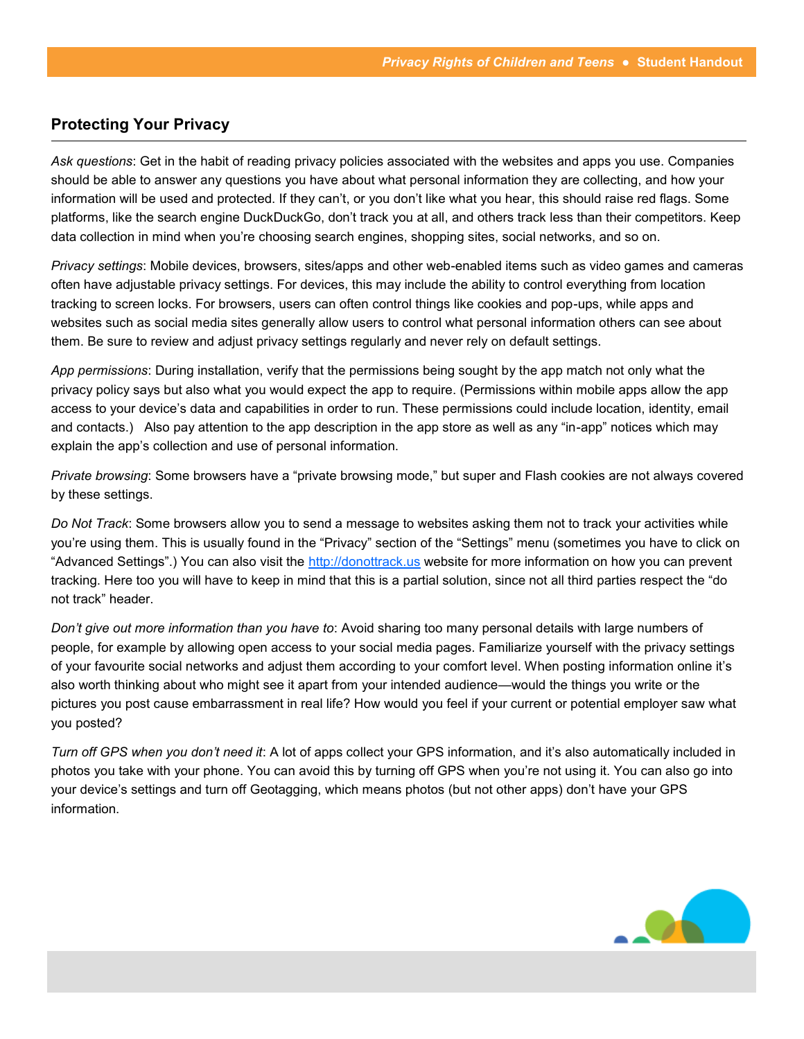# <span id="page-8-0"></span>**Protecting Your Privacy**

*Ask questions*: Get in the habit of reading privacy policies associated with the websites and apps you use. Companies should be able to answer any questions you have about what personal information they are collecting, and how your information will be used and protected. If they can't, or you don't like what you hear, this should raise red flags. Some platforms, like the search engine DuckDuckGo, don't track you at all, and others track less than their competitors. Keep data collection in mind when you're choosing search engines, shopping sites, social networks, and so on.

*Privacy settings*: Mobile devices, browsers, sites/apps and other web-enabled items such as video games and cameras often have adjustable privacy settings. For devices, this may include the ability to control everything from location tracking to screen locks. For browsers, users can often control things like cookies and pop-ups, while apps and websites such as social media sites generally allow users to control what personal information others can see about them. Be sure to review and adjust privacy settings regularly and never rely on default settings.

*App permissions*: During installation, verify that the permissions being sought by the app match not only what the privacy policy says but also what you would expect the app to require. (Permissions within mobile apps allow the app access to your device's data and capabilities in order to run. These permissions could include location, identity, email and contacts.) Also pay attention to the app description in the app store as well as any "in-app" notices which may explain the app's collection and use of personal information.

*Private browsing*: Some browsers have a "private browsing mode," but super and Flash cookies are not always covered by these settings.

*Do Not Track*: Some browsers allow you to send a message to websites asking them not to track your activities while you're using them. This is usually found in the "Privacy" section of the "Settings" menu (sometimes you have to click on "Advanced Settings".) You can also visit the <http://donottrack.us> website for more information on how you can prevent tracking. Here too you will have to keep in mind that this is a partial solution, since not all third parties respect the "do not track" header.

*Don't give out more information than you have to*: Avoid sharing too many personal details with large numbers of people, for example by allowing open access to your social media pages. Familiarize yourself with the privacy settings of your favourite social networks and adjust them according to your comfort level. When posting information online it's also worth thinking about who might see it apart from your intended audience—would the things you write or the pictures you post cause embarrassment in real life? How would you feel if your current or potential employer saw what you posted?

*Turn off GPS when you don't need it*: A lot of apps collect your GPS information, and it's also automatically included in photos you take with your phone. You can avoid this by turning off GPS when you're not using it. You can also go into your device's settings and turn off Geotagging, which means photos (but not other apps) don't have your GPS information.

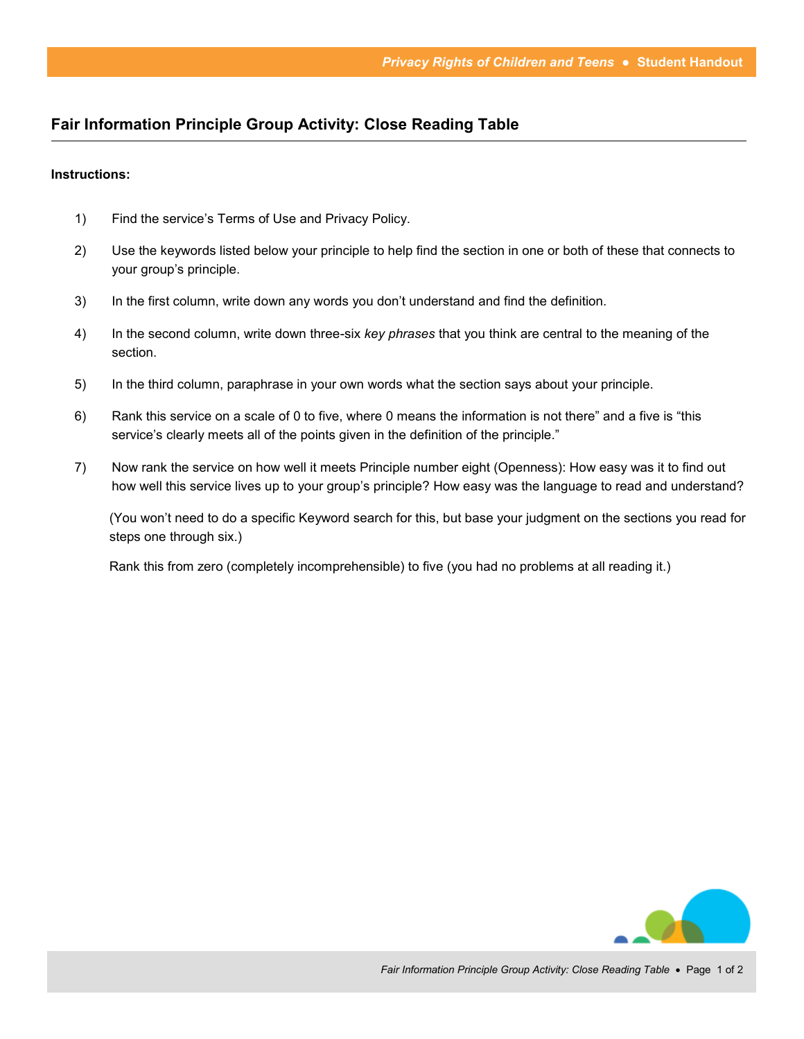## <span id="page-9-0"></span>**Fair Information Principle Group Activity: Close Reading Table**

#### **Instructions:**

- 1) Find the service's Terms of Use and Privacy Policy.
- 2) Use the keywords listed below your principle to help find the section in one or both of these that connects to your group's principle.
- 3) In the first column, write down any words you don't understand and find the definition.
- 4) In the second column, write down three-six *key phrases* that you think are central to the meaning of the section.
- 5) In the third column, paraphrase in your own words what the section says about your principle.
- 6) Rank this service on a scale of 0 to five, where 0 means the information is not there" and a five is "this service's clearly meets all of the points given in the definition of the principle."
- 7) Now rank the service on how well it meets Principle number eight (Openness): How easy was it to find out how well this service lives up to your group's principle? How easy was the language to read and understand?

(You won't need to do a specific Keyword search for this, but base your judgment on the sections you read for steps one through six.)

Rank this from zero (completely incomprehensible) to five (you had no problems at all reading it.)

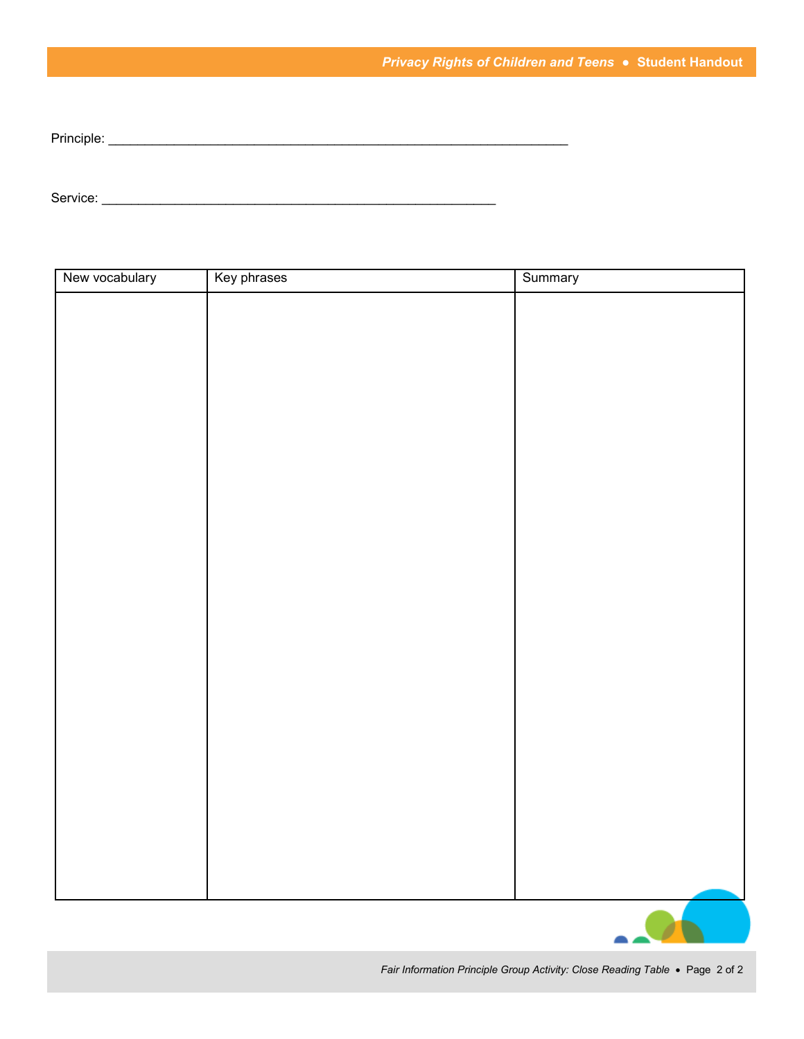Principle: \_\_\_\_\_\_\_\_\_\_\_\_\_\_\_\_\_\_\_\_\_\_\_\_\_\_\_\_\_\_\_\_\_\_\_\_\_\_\_\_\_\_\_\_\_\_\_\_\_\_\_\_\_\_\_\_\_\_\_\_\_\_\_

Service: \_\_\_\_\_\_\_\_\_\_\_\_\_\_\_\_\_\_\_\_\_\_\_\_\_\_\_\_\_\_\_\_\_\_\_\_\_\_\_\_\_\_\_\_\_\_\_\_\_\_\_\_\_\_

| New vocabulary | Key phrases | Summary |
|----------------|-------------|---------|
|                |             |         |
|                |             |         |
|                |             |         |
|                |             |         |
|                |             |         |
|                |             |         |
|                |             |         |
|                |             |         |
|                |             |         |
|                |             |         |
|                |             |         |
|                |             |         |
|                |             |         |
|                |             |         |
|                |             |         |
|                |             |         |
|                |             |         |
|                |             |         |
|                |             |         |
|                |             |         |
|                |             |         |
|                |             |         |
|                |             |         |
|                |             |         |
|                |             | ∼<br>▃  |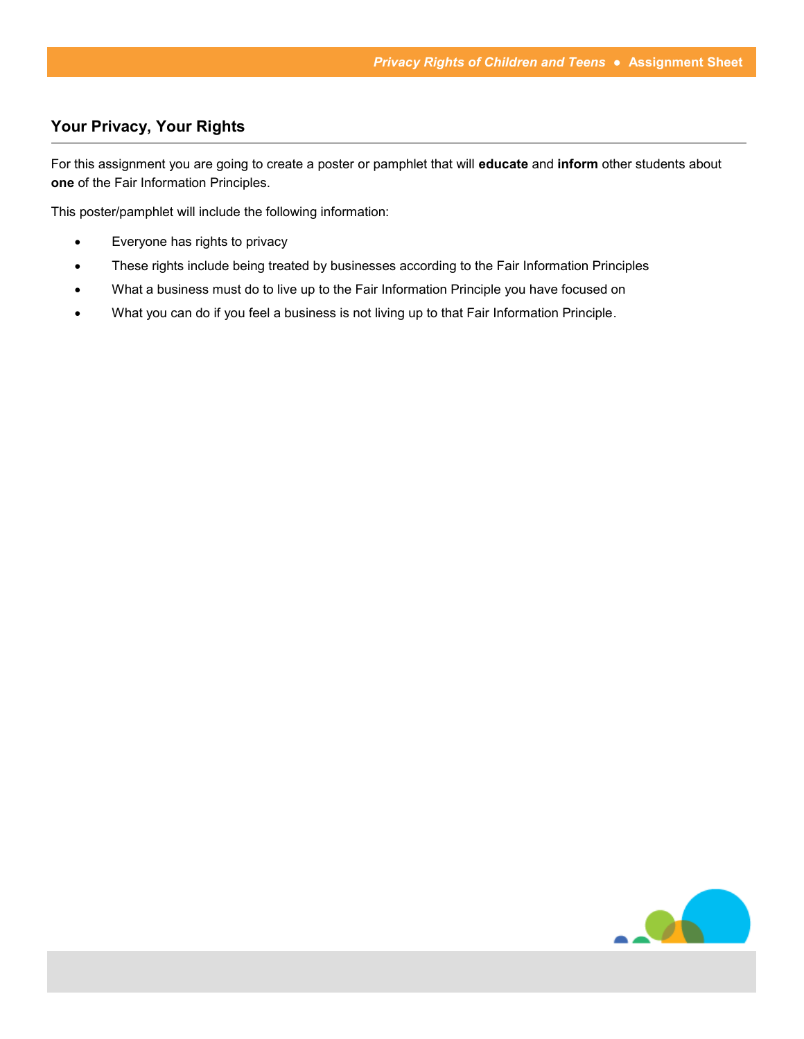# <span id="page-11-0"></span>**Your Privacy, Your Rights**

For this assignment you are going to create a poster or pamphlet that will **educate** and **inform** other students about **one** of the Fair Information Principles.

This poster/pamphlet will include the following information:

- Everyone has rights to privacy
- These rights include being treated by businesses according to the Fair Information Principles
- What a business must do to live up to the Fair Information Principle you have focused on
- What you can do if you feel a business is not living up to that Fair Information Principle.

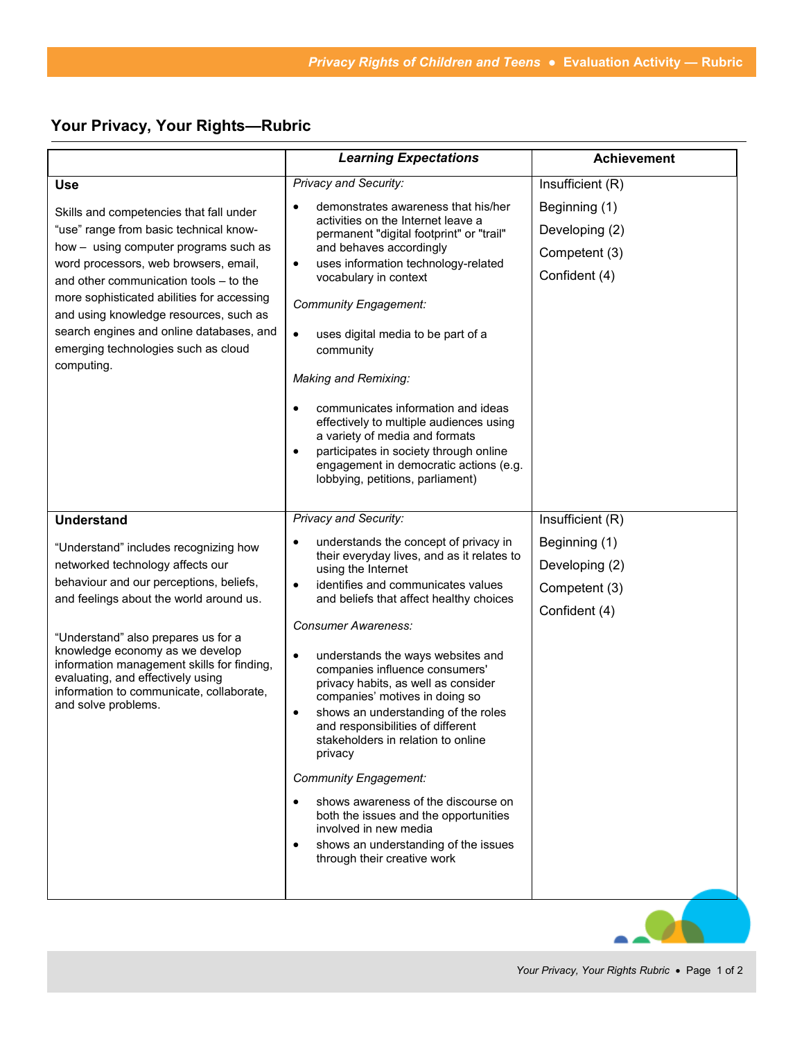# **Your Privacy, Your Rights—Rubric**

|                                                                                                                                                                                                                                                                                                                                                                                                                      | <b>Learning Expectations</b>                                                                                                                                                                                                                                                                                                                                                                                                                                                                                                                                                                                                                                                                                                                                                                                                   | <b>Achievement</b>                                                                    |
|----------------------------------------------------------------------------------------------------------------------------------------------------------------------------------------------------------------------------------------------------------------------------------------------------------------------------------------------------------------------------------------------------------------------|--------------------------------------------------------------------------------------------------------------------------------------------------------------------------------------------------------------------------------------------------------------------------------------------------------------------------------------------------------------------------------------------------------------------------------------------------------------------------------------------------------------------------------------------------------------------------------------------------------------------------------------------------------------------------------------------------------------------------------------------------------------------------------------------------------------------------------|---------------------------------------------------------------------------------------|
| <b>Use</b><br>Skills and competencies that fall under                                                                                                                                                                                                                                                                                                                                                                | <b>Privacy and Security:</b><br>demonstrates awareness that his/her<br>activities on the Internet leave a                                                                                                                                                                                                                                                                                                                                                                                                                                                                                                                                                                                                                                                                                                                      | Insufficient (R)<br>Beginning (1)                                                     |
| "use" range from basic technical know-<br>how - using computer programs such as<br>word processors, web browsers, email,<br>and other communication tools - to the<br>more sophisticated abilities for accessing<br>and using knowledge resources, such as<br>search engines and online databases, and<br>emerging technologies such as cloud<br>computing.                                                          | permanent "digital footprint" or "trail"<br>and behaves accordingly<br>uses information technology-related<br>$\bullet$<br>vocabulary in context<br><b>Community Engagement:</b><br>uses digital media to be part of a<br>$\bullet$<br>community<br>Making and Remixing:<br>communicates information and ideas<br>effectively to multiple audiences using<br>a variety of media and formats<br>participates in society through online<br>engagement in democratic actions (e.g.                                                                                                                                                                                                                                                                                                                                                | Developing (2)<br>Competent (3)<br>Confident (4)                                      |
| <b>Understand</b><br>"Understand" includes recognizing how<br>networked technology affects our<br>behaviour and our perceptions, beliefs,<br>and feelings about the world around us.<br>"Understand" also prepares us for a<br>knowledge economy as we develop<br>information management skills for finding,<br>evaluating, and effectively using<br>information to communicate, collaborate,<br>and solve problems. | lobbying, petitions, parliament)<br>Privacy and Security:<br>understands the concept of privacy in<br>their everyday lives, and as it relates to<br>using the Internet<br>identifies and communicates values<br>and beliefs that affect healthy choices<br><b>Consumer Awareness:</b><br>understands the ways websites and<br>٠<br>companies influence consumers'<br>privacy habits, as well as consider<br>companies' motives in doing so<br>shows an understanding of the roles<br>$\bullet$<br>and responsibilities of different<br>stakeholders in relation to online<br>privacy<br><b>Community Engagement:</b><br>shows awareness of the discourse on<br>$\bullet$<br>both the issues and the opportunities<br>involved in new media<br>shows an understanding of the issues<br>$\bullet$<br>through their creative work | Insufficient (R)<br>Beginning (1)<br>Developing (2)<br>Competent (3)<br>Confident (4) |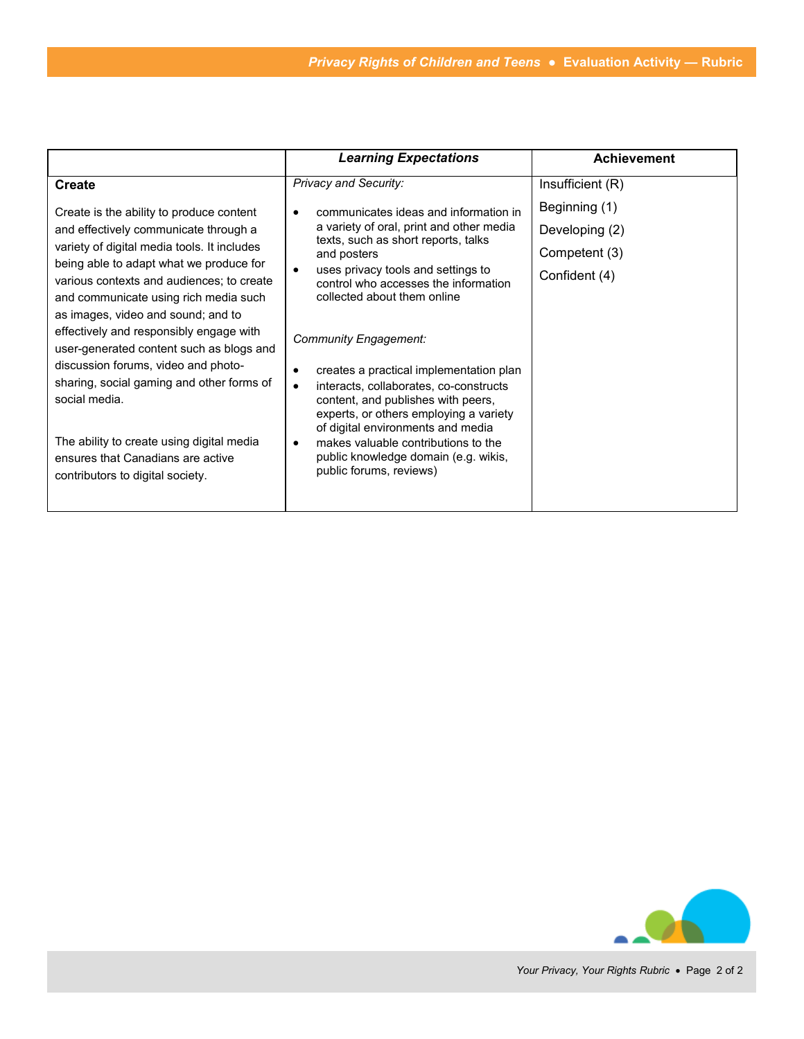|                                                                                                                          | <b>Learning Expectations</b>                                                                                                                                                                           | <b>Achievement</b> |
|--------------------------------------------------------------------------------------------------------------------------|--------------------------------------------------------------------------------------------------------------------------------------------------------------------------------------------------------|--------------------|
| <b>Create</b>                                                                                                            | <b>Privacy and Security:</b>                                                                                                                                                                           | Insufficient (R)   |
| Create is the ability to produce content                                                                                 | communicates ideas and information in                                                                                                                                                                  | Beginning (1)      |
| and effectively communicate through a                                                                                    | a variety of oral, print and other media<br>texts, such as short reports, talks                                                                                                                        | Developing (2)     |
| variety of digital media tools. It includes<br>being able to adapt what we produce for                                   | and posters<br>uses privacy tools and settings to<br>control who accesses the information<br>collected about them online                                                                               | Competent (3)      |
| various contexts and audiences; to create<br>and communicate using rich media such<br>as images, video and sound; and to |                                                                                                                                                                                                        | Confident (4)      |
| effectively and responsibly engage with<br>user-generated content such as blogs and                                      | Community Engagement:                                                                                                                                                                                  |                    |
| discussion forums, video and photo-<br>sharing, social gaming and other forms of<br>social media.                        | creates a practical implementation plan<br>interacts, collaborates, co-constructs<br>content, and publishes with peers,<br>experts, or others employing a variety<br>of digital environments and media |                    |
| The ability to create using digital media<br>ensures that Canadians are active<br>contributors to digital society.       | makes valuable contributions to the<br>public knowledge domain (e.g. wikis,<br>public forums, reviews)                                                                                                 |                    |

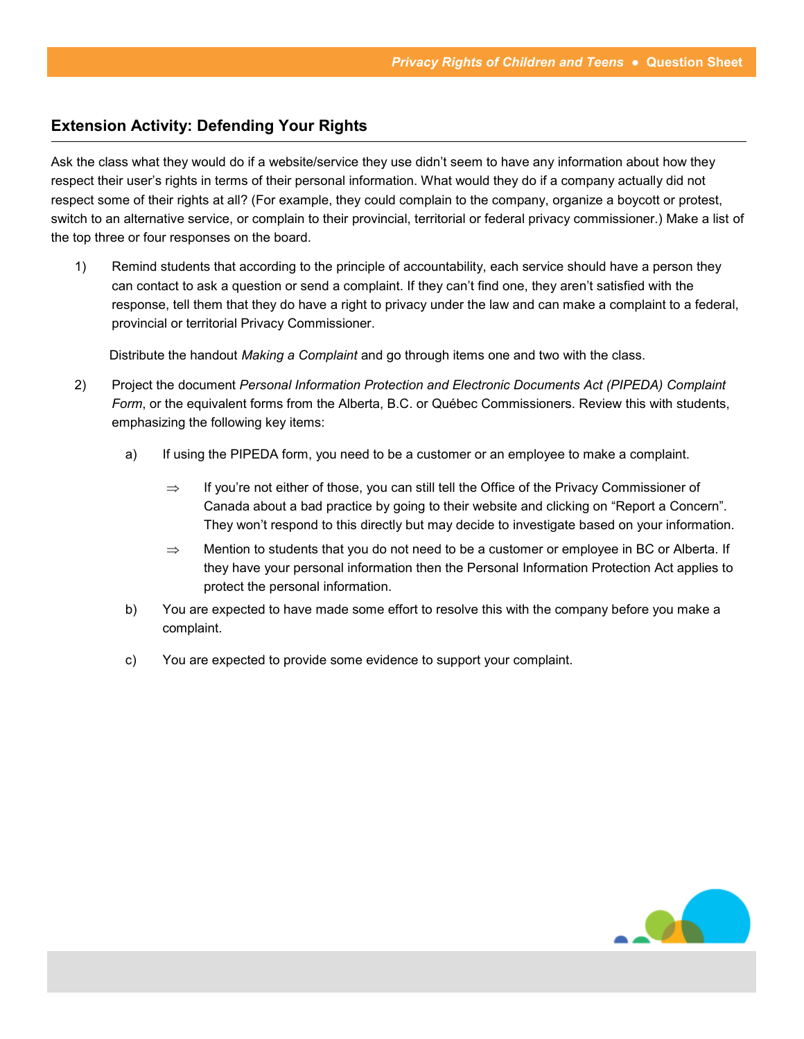## **Extension Activity: Defending Your Rights**

Ask the class what they would do if a website/service they use didn't seem to have any information about how they respect their user's rights in terms of their personal information. What would they do if a company actually did not respect some of their rights at all? (For example, they could complain to the company, organize a boycott or protest, switch to an alternative service, or complain to their provincial, territorial or federal privacy commissioner.) Make a list of the top three or four responses on the board.

1) Remind students that according to the principle of accountability, each service should have a person they can contact to ask a question or send a complaint. If they can't find one, they aren't satisfied with the response, tell them that they do have a right to privacy under the law and can make a complaint to a federal, provincial or territorial Privacy Commissioner.

Distribute the handout *Making a Complaint* and go through items one and two with the class.

- 2) Project the document *Personal Information Protection and Electronic Documents Act (PIPEDA) Complaint Form*, or the equivalent forms from the Alberta, B.C. or Québec Commissioners. Review this with students, emphasizing the following key items:
	- a) If using the PIPEDA form, you need to be a customer or an employee to make a complaint.
		- $\Rightarrow$  If you're not either of those, you can still tell the Office of the Privacy Commissioner of Canada about a bad practice by going to their website and clicking on "Report a Concern". They won't respond to this directly but may decide to investigate based on your information.
		- $\Rightarrow$  Mention to students that you do not need to be a customer or employee in BC or Alberta. If they have your personal information then the Personal Information Protection Act applies to protect the personal information.
	- b) You are expected to have made some effort to resolve this with the company before you make a complaint.
	- c) You are expected to provide some evidence to support your complaint.

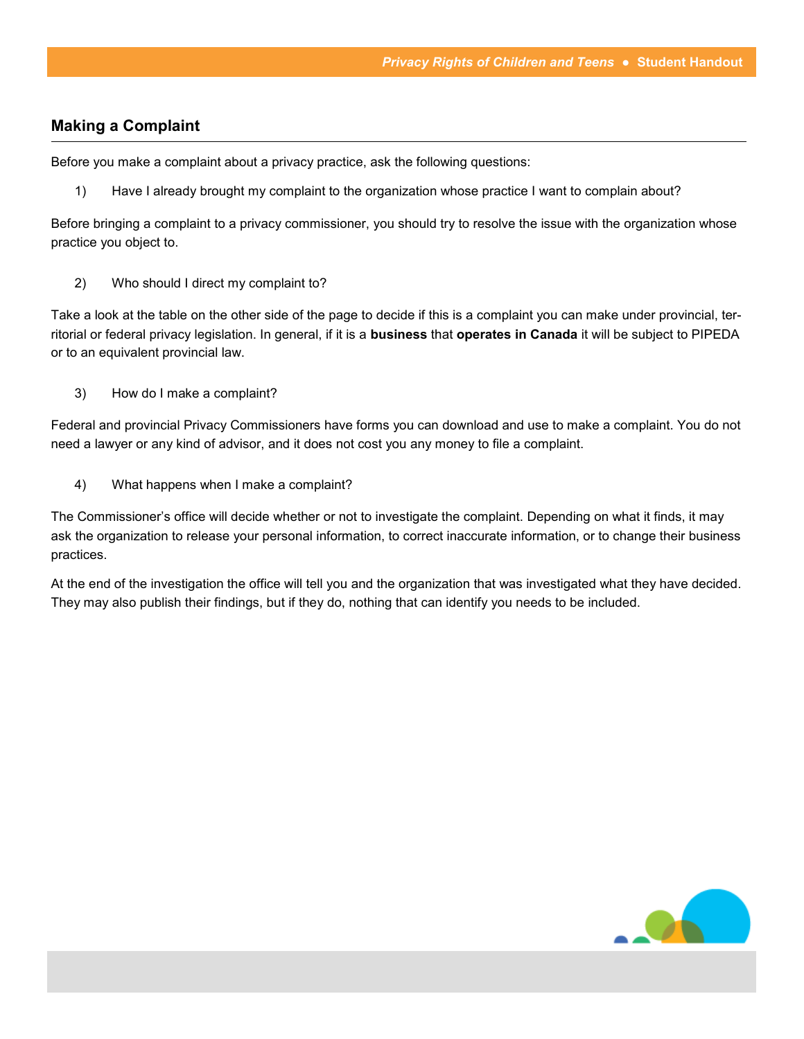### **Making a Complaint**

Before you make a complaint about a privacy practice, ask the following questions:

1) Have I already brought my complaint to the organization whose practice I want to complain about?

Before bringing a complaint to a privacy commissioner, you should try to resolve the issue with the organization whose practice you object to.

2) Who should I direct my complaint to?

Take a look at the table on the other side of the page to decide if this is a complaint you can make under provincial, territorial or federal privacy legislation. In general, if it is a **business** that **operates in Canada** it will be subject to PIPEDA or to an equivalent provincial law.

3) How do I make a complaint?

Federal and provincial Privacy Commissioners have forms you can download and use to make a complaint. You do not need a lawyer or any kind of advisor, and it does not cost you any money to file a complaint.

4) What happens when I make a complaint?

The Commissioner's office will decide whether or not to investigate the complaint. Depending on what it finds, it may ask the organization to release your personal information, to correct inaccurate information, or to change their business practices.

At the end of the investigation the office will tell you and the organization that was investigated what they have decided. They may also publish their findings, but if they do, nothing that can identify you needs to be included.

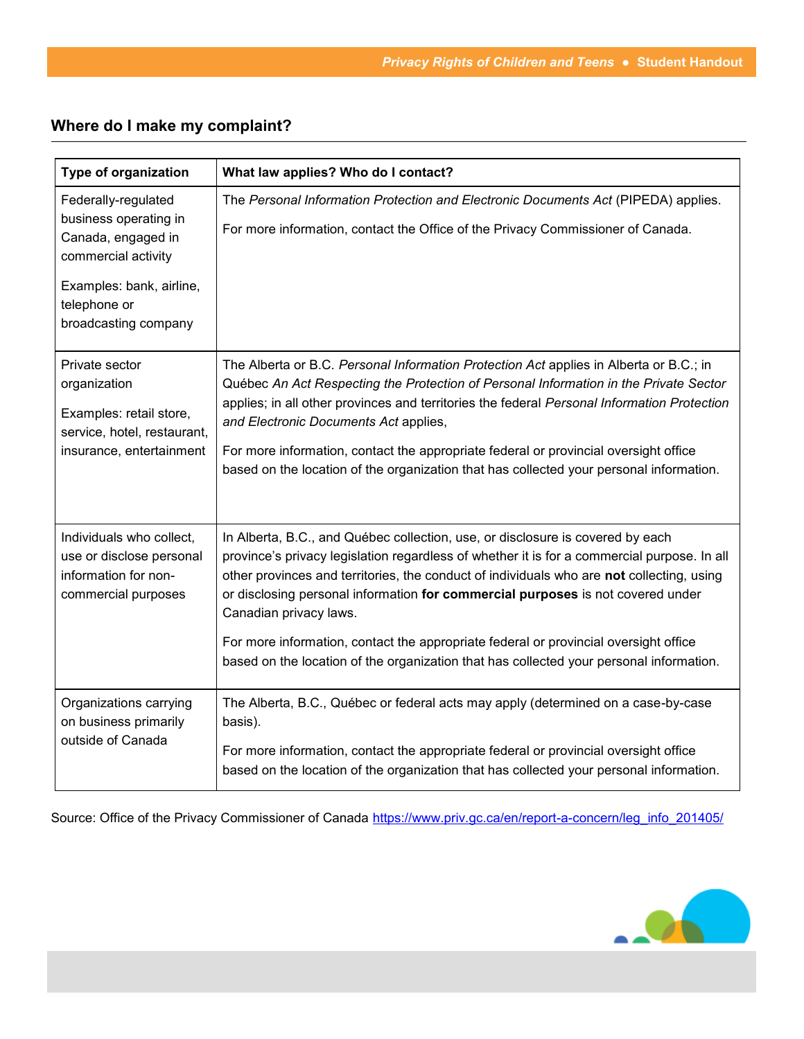# **Where do I make my complaint?**

| <b>Type of organization</b>                                                                                                                                   | What law applies? Who do I contact?                                                                                                                                                                                                                                                                                                                                                                                                                                                                                                                                        |
|---------------------------------------------------------------------------------------------------------------------------------------------------------------|----------------------------------------------------------------------------------------------------------------------------------------------------------------------------------------------------------------------------------------------------------------------------------------------------------------------------------------------------------------------------------------------------------------------------------------------------------------------------------------------------------------------------------------------------------------------------|
| Federally-regulated<br>business operating in<br>Canada, engaged in<br>commercial activity<br>Examples: bank, airline,<br>telephone or<br>broadcasting company | The Personal Information Protection and Electronic Documents Act (PIPEDA) applies.<br>For more information, contact the Office of the Privacy Commissioner of Canada.                                                                                                                                                                                                                                                                                                                                                                                                      |
| Private sector<br>organization<br>Examples: retail store,<br>service, hotel, restaurant,<br>insurance, entertainment                                          | The Alberta or B.C. Personal Information Protection Act applies in Alberta or B.C.; in<br>Québec An Act Respecting the Protection of Personal Information in the Private Sector<br>applies; in all other provinces and territories the federal Personal Information Protection<br>and Electronic Documents Act applies,<br>For more information, contact the appropriate federal or provincial oversight office<br>based on the location of the organization that has collected your personal information.                                                                 |
| Individuals who collect,<br>use or disclose personal<br>information for non-<br>commercial purposes                                                           | In Alberta, B.C., and Québec collection, use, or disclosure is covered by each<br>province's privacy legislation regardless of whether it is for a commercial purpose. In all<br>other provinces and territories, the conduct of individuals who are not collecting, using<br>or disclosing personal information for commercial purposes is not covered under<br>Canadian privacy laws.<br>For more information, contact the appropriate federal or provincial oversight office<br>based on the location of the organization that has collected your personal information. |
| Organizations carrying<br>on business primarily<br>outside of Canada                                                                                          | The Alberta, B.C., Québec or federal acts may apply (determined on a case-by-case<br>basis).<br>For more information, contact the appropriate federal or provincial oversight office<br>based on the location of the organization that has collected your personal information.                                                                                                                                                                                                                                                                                            |

Source: Office of the Privacy Commissioner of Canada [https://www.priv.gc.ca/en/report](https://www.priv.gc.ca/en/report-a-concern/leg_info_201405/)-a-concern/leg\_info\_201405/

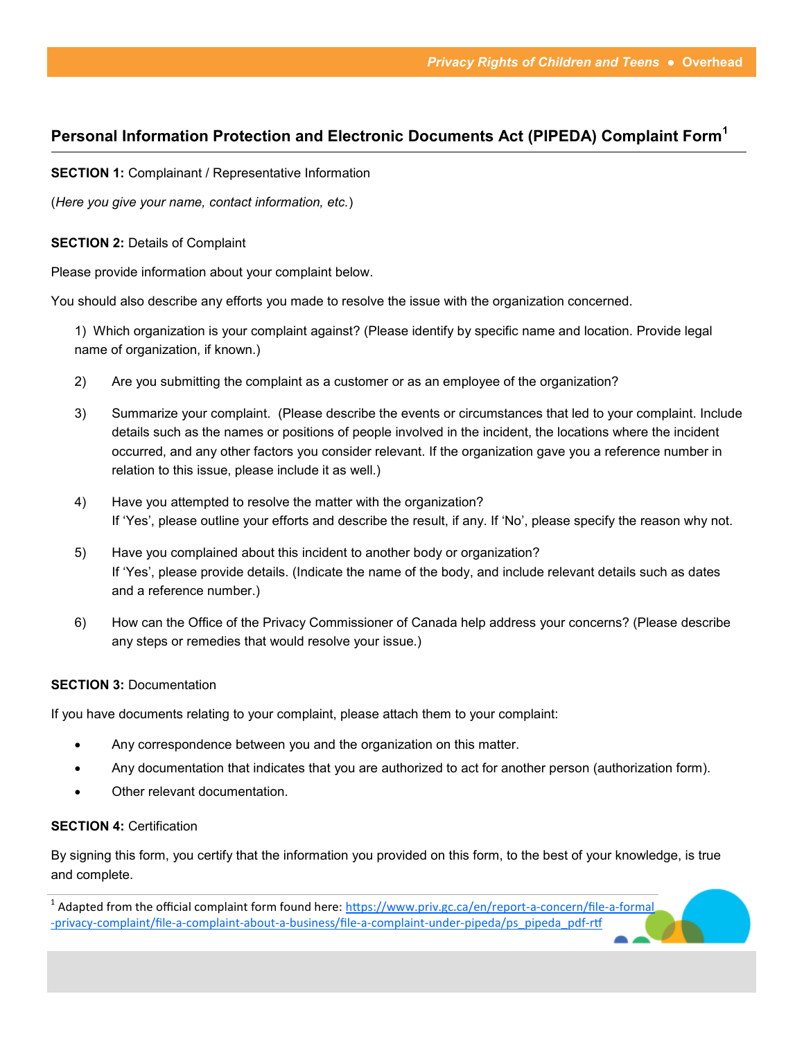# **Personal Information Protection and Electronic Documents Act (PIPEDA) Complaint Form<sup>1</sup>**

**SECTION 1: Complainant / Representative Information** 

(*Here you give your name, contact information, etc.*)

#### **SECTION 2:** Details of Complaint

Please provide information about your complaint below.

You should also describe any efforts you made to resolve the issue with the organization concerned.

1) Which organization is your complaint against? (Please identify by specific name and location. Provide legal name of organization, if known.)

- 2) Are you submitting the complaint as a customer or as an employee of the organization?
- 3) Summarize your complaint. (Please describe the events or circumstances that led to your complaint. Include details such as the names or positions of people involved in the incident, the locations where the incident occurred, and any other factors you consider relevant. If the organization gave you a reference number in relation to this issue, please include it as well.)
- 4) Have you attempted to resolve the matter with the organization? If 'Yes', please outline your efforts and describe the result, if any. If 'No', please specify the reason why not.
- 5) Have you complained about this incident to another body or organization? If 'Yes', please provide details. (Indicate the name of the body, and include relevant details such as dates and a reference number.)
- 6) How can the Office of the Privacy Commissioner of Canada help address your concerns? (Please describe any steps or remedies that would resolve your issue.)

#### **SECTION 3: Documentation**

If you have documents relating to your complaint, please attach them to your complaint:

- Any correspondence between you and the organization on this matter.
- Any documentation that indicates that you are authorized to act for another person (authorization form).
- Other relevant documentation.

#### **SECTION 4: Certification**

By signing this form, you certify that the information you provided on this form, to the best of your knowledge, is true and complete.

<sup>&</sup>lt;sup>1</sup> Adapted from the official complaint form found here: [https://www.priv.gc.ca/en/report](https://www.priv.gc.ca/en/report-a-concern/file-a-formal-privacy-complaint/file-a-complaint-about-a-business/file-a-complaint-under-pipeda/ps_pipeda_pdf-rtf)-a-concern/file-a-formal -privacy-complaint/file-a-complaint-about-a-business/file-a-complaint-under-[pipeda/ps\\_pipeda\\_pdf](https://www.priv.gc.ca/en/report-a-concern/file-a-formal-privacy-complaint/file-a-complaint-about-a-business/file-a-complaint-under-pipeda/ps_pipeda_pdf-rtf)-rtf